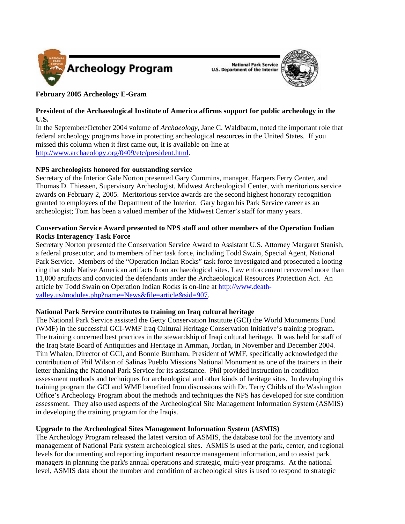

**National Park Service U.S. Department of the Interior** 



# **February 2005 Archeology E-Gram**

## **President of the Archaeological Institute of America affirms support for public archeology in the U.S.**

In the September/October 2004 volume of *Archaeology*, Jane C. Waldbaum, noted the important role that federal archeology programs have in protecting archeological resources in the United States. If you missed this column when it first came out, it is available on-line at http://www.archaeology.org/0409/etc/president.html.

# **NPS archeologists honored for outstanding service**

Secretary of the Interior Gale Norton presented Gary Cummins, manager, Harpers Ferry Center, and Thomas D. Thiessen, Supervisory Archeologist, Midwest Archeological Center, with meritorious service awards on February 2, 2005. Meritorious service awards are the second highest honorary recognition granted to employees of the Department of the Interior. Gary began his Park Service career as an archeologist; Tom has been a valued member of the Midwest Center's staff for many years.

## **Conservation Service Award presented to NPS staff and other members of the Operation Indian Rocks Interagency Task Force**

Secretary Norton presented the Conservation Service Award to Assistant U.S. Attorney Margaret Stanish, a federal prosecutor, and to members of her task force, including Todd Swain, Special Agent, National Park Service. Members of the "Operation Indian Rocks" task force investigated and prosecuted a looting ring that stole Native American artifacts from archaeological sites. Law enforcement recovered more than 11,000 artifacts and convicted the defendants under the Archaeological Resources Protection Act. An article by Todd Swain on Operation Indian Rocks is on-line at http://www.deathvalley.us/modules.php?name=News&file=article&sid=907.

## **National Park Service contributes to training on Iraq cultural heritage**

The National Park Service assisted the Getty Conservation Institute (GCI) the World Monuments Fund (WMF) in the successful GCI-WMF Iraq Cultural Heritage Conservation Initiative's training program. The training concerned best practices in the stewardship of Iraqi cultural heritage. It was held for staff of the Iraq State Board of Antiquities and Heritage in Amman, Jordan, in November and December 2004. Tim Whalen, Director of GCI, and Bonnie Burnham, President of WMF, specifically acknowledged the contribution of Phil Wilson of Salinas Pueblo Missions National Monument as one of the trainers in their letter thanking the National Park Service for its assistance. Phil provided instruction in condition assessment methods and techniques for archeological and other kinds of heritage sites. In developing this training program the GCI and WMF benefited from discussions with Dr. Terry Childs of the Washington Office's Archeology Program about the methods and techniques the NPS has developed for site condition assessment. They also used aspects of the Archeological Site Management Information System (ASMIS) in developing the training program for the Iraqis.

# **Upgrade to the Archeological Sites Management Information System (ASMIS)**

The Archeology Program released the latest version of ASMIS, the database tool for the inventory and management of National Park system archeological sites. ASMIS is used at the park, center, and regional levels for documenting and reporting important resource management information, and to assist park managers in planning the park's annual operations and strategic, multi-year programs. At the national level, ASMIS data about the number and condition of archeological sites is used to respond to strategic